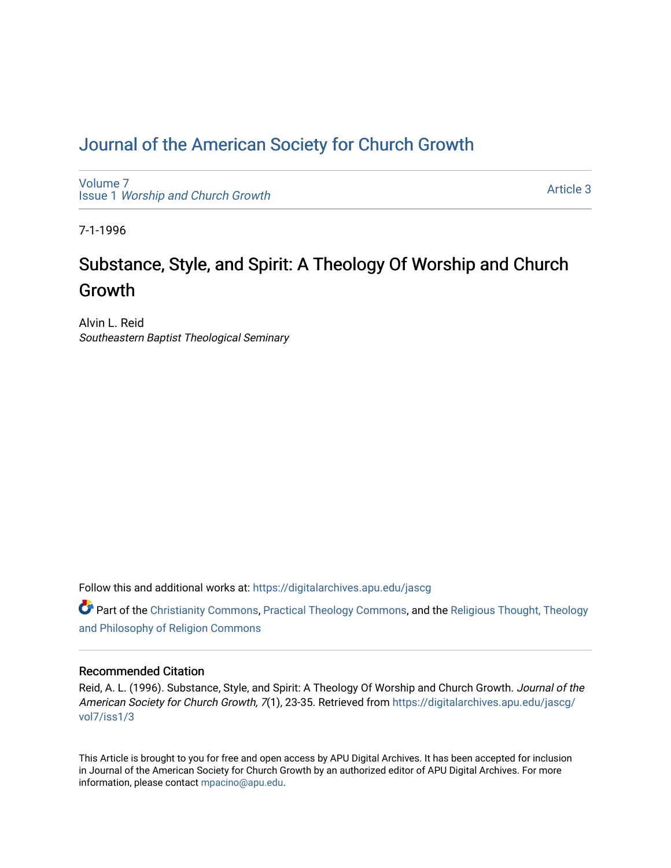# [Journal of the American Society for Church Growth](https://digitalarchives.apu.edu/jascg)

[Volume 7](https://digitalarchives.apu.edu/jascg/vol7) Issue 1 [Worship and Church Growth](https://digitalarchives.apu.edu/jascg/vol7/iss1)

[Article 3](https://digitalarchives.apu.edu/jascg/vol7/iss1/3) 

7-1-1996

# Substance, Style, and Spirit: A Theology Of Worship and Church Growth

Alvin L. Reid Southeastern Baptist Theological Seminary

Follow this and additional works at: [https://digitalarchives.apu.edu/jascg](https://digitalarchives.apu.edu/jascg?utm_source=digitalarchives.apu.edu%2Fjascg%2Fvol7%2Fiss1%2F3&utm_medium=PDF&utm_campaign=PDFCoverPages) 

Part of the [Christianity Commons,](http://network.bepress.com/hgg/discipline/1181?utm_source=digitalarchives.apu.edu%2Fjascg%2Fvol7%2Fiss1%2F3&utm_medium=PDF&utm_campaign=PDFCoverPages) [Practical Theology Commons](http://network.bepress.com/hgg/discipline/1186?utm_source=digitalarchives.apu.edu%2Fjascg%2Fvol7%2Fiss1%2F3&utm_medium=PDF&utm_campaign=PDFCoverPages), and the [Religious Thought, Theology](http://network.bepress.com/hgg/discipline/544?utm_source=digitalarchives.apu.edu%2Fjascg%2Fvol7%2Fiss1%2F3&utm_medium=PDF&utm_campaign=PDFCoverPages)  [and Philosophy of Religion Commons](http://network.bepress.com/hgg/discipline/544?utm_source=digitalarchives.apu.edu%2Fjascg%2Fvol7%2Fiss1%2F3&utm_medium=PDF&utm_campaign=PDFCoverPages)

# Recommended Citation

Reid, A. L. (1996). Substance, Style, and Spirit: A Theology Of Worship and Church Growth. Journal of the American Society for Church Growth, 7(1), 23-35. Retrieved from [https://digitalarchives.apu.edu/jascg/](https://digitalarchives.apu.edu/jascg/vol7/iss1/3?utm_source=digitalarchives.apu.edu%2Fjascg%2Fvol7%2Fiss1%2F3&utm_medium=PDF&utm_campaign=PDFCoverPages) [vol7/iss1/3](https://digitalarchives.apu.edu/jascg/vol7/iss1/3?utm_source=digitalarchives.apu.edu%2Fjascg%2Fvol7%2Fiss1%2F3&utm_medium=PDF&utm_campaign=PDFCoverPages) 

This Article is brought to you for free and open access by APU Digital Archives. It has been accepted for inclusion in Journal of the American Society for Church Growth by an authorized editor of APU Digital Archives. For more information, please contact [mpacino@apu.edu](mailto:mpacino@apu.edu).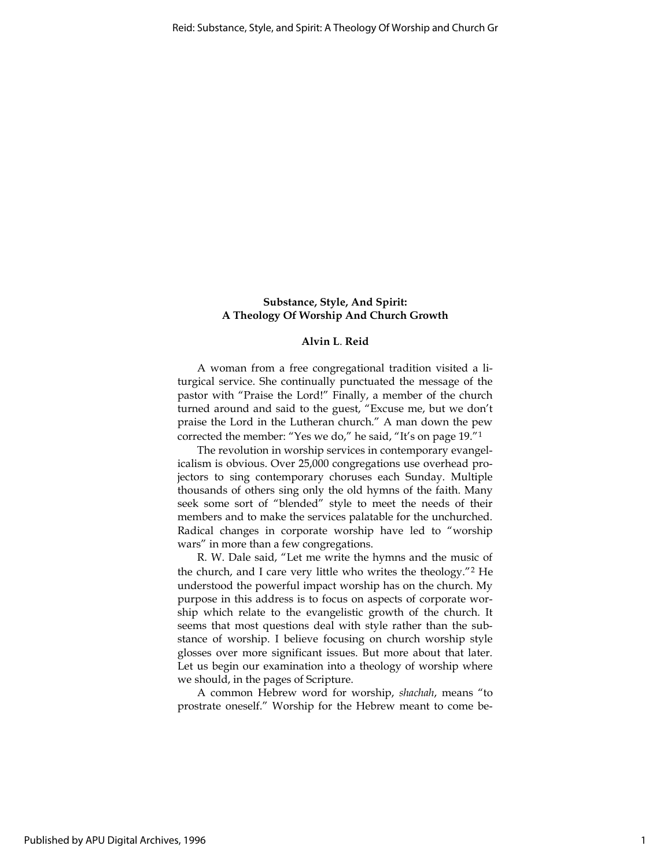# Substance, Style, And Spirit: A Theology Of Worship And Church Growth

## Alvin L. Reid

A woman from a free congregational tradition visited a liturgical service. She continually punctuated the message of the pastor with "Praise the Lord!" Finally, a member of the church turned around and said to the guest, "Excuse me, but we don't praise the Lord in the Lutheran church." A man down the pew corrected the member: "Yes we do," he said, "It's on page 19."<sup>1</sup>

The revolution in worship services in contemporary evangelicalism is obvious. Over 25,000 congregations use overhead projectors to sing contemporary choruses each Sunday. Multiple thousands of others sing only the old hymns of the faith. Many seek some sort of "blended" style to meet the needs of their members and to make the services palatable for the unchurched. Radical changes in corporate worship have led to "worship wars" in more than a few congregations.

R. W. Dale said, "Let me write the hymns and the music of the church, and I care very little who writes the theology."<sup>2</sup> He understood the powerful impact worship has on the church. My purpose in this address is to focus on aspects of corporate worship which relate to the evangelistic growth of the church. It seems that most questions deal with style rather than the substance of worship. I believe focusing on church worship style glosses over more significant issues. But more about that later. Let us begin our examination into a theology of worship where we should, in the pages of Scripture.

A common Hebrew word for worship, shachah, means "to prostrate oneself." Worship for the Hebrew meant to come be-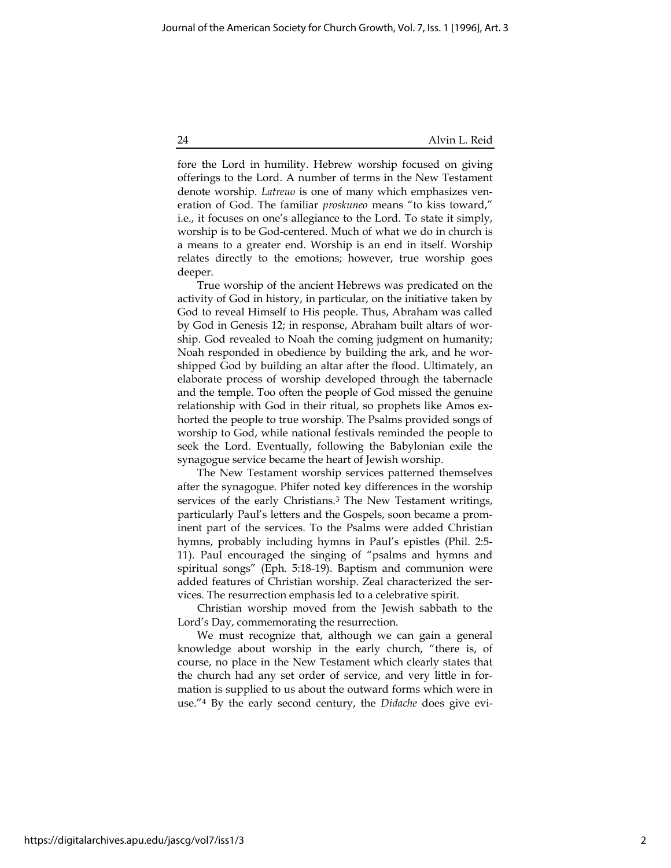fore the Lord in humility. Hebrew worship focused on giving offerings to the Lord. A number of terms in the New Testament denote worship. Latreuo is one of many which emphasizes veneration of God. The familiar proskuneo means "to kiss toward," i.e., it focuses on one's allegiance to the Lord. To state it simply, worship is to be God-centered. Much of what we do in church is a means to a greater end. Worship is an end in itself. Worship relates directly to the emotions; however, true worship goes deeper.

True worship of the ancient Hebrews was predicated on the activity of God in history, in particular, on the initiative taken by God to reveal Himself to His people. Thus, Abraham was called by God in Genesis 12; in response, Abraham built altars of worship. God revealed to Noah the coming judgment on humanity; Noah responded in obedience by building the ark, and he worshipped God by building an altar after the flood. Ultimately, an elaborate process of worship developed through the tabernacle and the temple. Too often the people of God missed the genuine relationship with God in their ritual, so prophets like Amos exhorted the people to true worship. The Psalms provided songs of worship to God, while national festivals reminded the people to seek the Lord. Eventually, following the Babylonian exile the synagogue service became the heart of Jewish worship.

The New Testament worship services patterned themselves after the synagogue. Phifer noted key differences in the worship services of the early Christians.<sup>3</sup> The New Testament writings, particularly Paul's letters and the Gospels, soon became a prominent part of the services. To the Psalms were added Christian hymns, probably including hymns in Paul's epistles (Phil. 2:5- 11). Paul encouraged the singing of "psalms and hymns and spiritual songs" (Eph. 5:18-19). Baptism and communion were added features of Christian worship. Zeal characterized the services. The resurrection emphasis led to a celebrative spirit.

Christian worship moved from the Jewish sabbath to the Lord's Day, commemorating the resurrection.

We must recognize that, although we can gain a general knowledge about worship in the early church, "there is, of course, no place in the New Testament which clearly states that the church had any set order of service, and very little in formation is supplied to us about the outward forms which were in use."4 By the early second century, the Didache does give evi-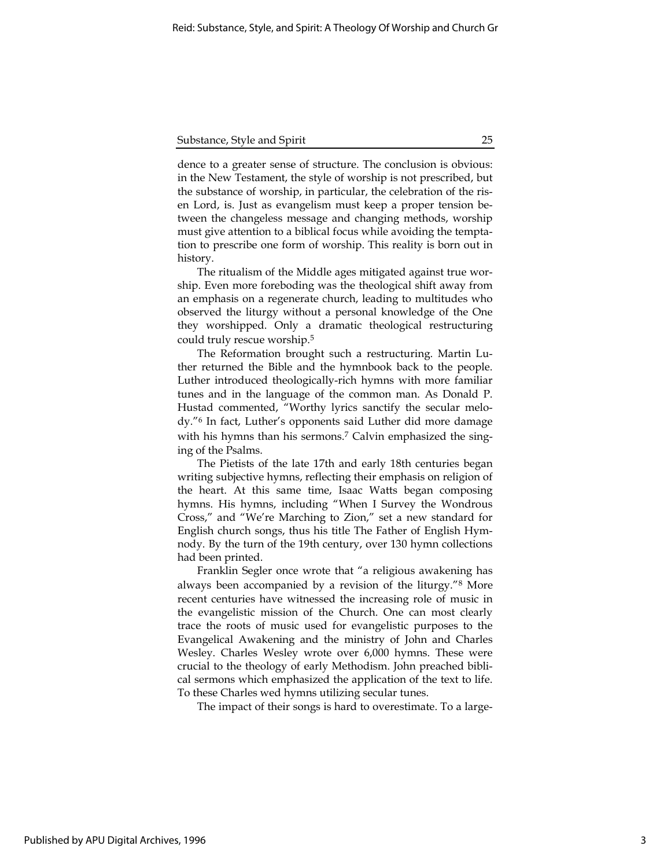dence to a greater sense of structure. The conclusion is obvious: in the New Testament, the style of worship is not prescribed, but the substance of worship, in particular, the celebration of the risen Lord, is. Just as evangelism must keep a proper tension between the changeless message and changing methods, worship must give attention to a biblical focus while avoiding the temptation to prescribe one form of worship. This reality is born out in history.

The ritualism of the Middle ages mitigated against true worship. Even more foreboding was the theological shift away from an emphasis on a regenerate church, leading to multitudes who observed the liturgy without a personal knowledge of the One they worshipped. Only a dramatic theological restructuring could truly rescue worship.<sup>5</sup>

The Reformation brought such a restructuring. Martin Luther returned the Bible and the hymnbook back to the people. Luther introduced theologically-rich hymns with more familiar tunes and in the language of the common man. As Donald P. Hustad commented, "Worthy lyrics sanctify the secular melody."<sup>6</sup> In fact, Luther's opponents said Luther did more damage with his hymns than his sermons.<sup>7</sup> Calvin emphasized the singing of the Psalms.

The Pietists of the late 17th and early 18th centuries began writing subjective hymns, reflecting their emphasis on religion of the heart. At this same time, Isaac Watts began composing hymns. His hymns, including "When I Survey the Wondrous Cross," and "We're Marching to Zion," set a new standard for English church songs, thus his title The Father of English Hymnody. By the turn of the 19th century, over 130 hymn collections had been printed.

Franklin Segler once wrote that "a religious awakening has always been accompanied by a revision of the liturgy."<sup>8</sup> More recent centuries have witnessed the increasing role of music in the evangelistic mission of the Church. One can most clearly trace the roots of music used for evangelistic purposes to the Evangelical Awakening and the ministry of John and Charles Wesley. Charles Wesley wrote over 6,000 hymns. These were crucial to the theology of early Methodism. John preached biblical sermons which emphasized the application of the text to life. To these Charles wed hymns utilizing secular tunes.

The impact of their songs is hard to overestimate. To a large-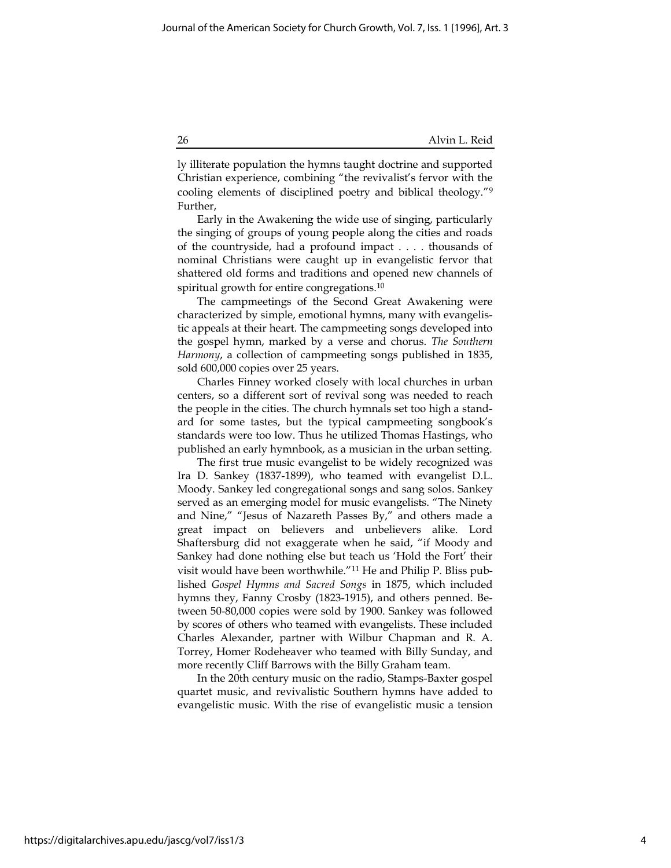ly illiterate population the hymns taught doctrine and supported Christian experience, combining "the revivalist's fervor with the cooling elements of disciplined poetry and biblical theology."<sup>9</sup> Further,

Early in the Awakening the wide use of singing, particularly the singing of groups of young people along the cities and roads of the countryside, had a profound impact . . . . thousands of nominal Christians were caught up in evangelistic fervor that shattered old forms and traditions and opened new channels of spiritual growth for entire congregations.<sup>10</sup>

The campmeetings of the Second Great Awakening were characterized by simple, emotional hymns, many with evangelistic appeals at their heart. The campmeeting songs developed into the gospel hymn, marked by a verse and chorus. The Southern Harmony, a collection of campmeeting songs published in 1835, sold 600,000 copies over 25 years.

Charles Finney worked closely with local churches in urban centers, so a different sort of revival song was needed to reach the people in the cities. The church hymnals set too high a standard for some tastes, but the typical campmeeting songbook's standards were too low. Thus he utilized Thomas Hastings, who published an early hymnbook, as a musician in the urban setting.

The first true music evangelist to be widely recognized was Ira D. Sankey (1837-1899), who teamed with evangelist D.L. Moody. Sankey led congregational songs and sang solos. Sankey served as an emerging model for music evangelists. "The Ninety and Nine," "Jesus of Nazareth Passes By," and others made a great impact on believers and unbelievers alike. Lord Shaftersburg did not exaggerate when he said, "if Moody and Sankey had done nothing else but teach us 'Hold the Fort' their visit would have been worthwhile."11 He and Philip P. Bliss published Gospel Hymns and Sacred Songs in 1875, which included hymns they, Fanny Crosby (1823-1915), and others penned. Between 50-80,000 copies were sold by 1900. Sankey was followed by scores of others who teamed with evangelists. These included Charles Alexander, partner with Wilbur Chapman and R. A. Torrey, Homer Rodeheaver who teamed with Billy Sunday, and more recently Cliff Barrows with the Billy Graham team.

In the 20th century music on the radio, Stamps-Baxter gospel quartet music, and revivalistic Southern hymns have added to evangelistic music. With the rise of evangelistic music a tension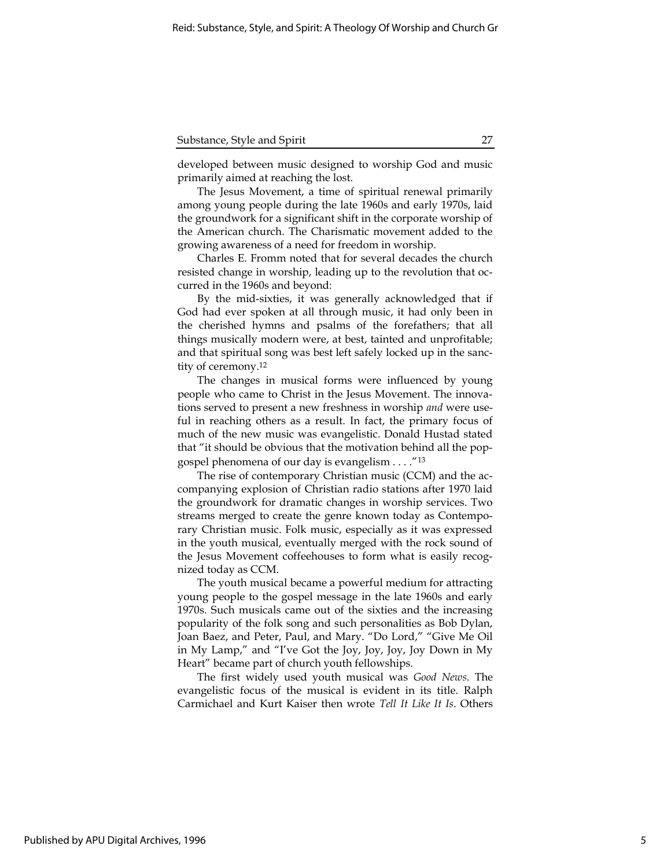developed between music designed to worship God and music primarily aimed at reaching the lost.

The Jesus Movement, a time of spiritual renewal primarily among young people during the late 1960s and early 1970s, laid the groundwork for a significant shift in the corporate worship of the American church. The Charismatic movement added to the growing awareness of a need for freedom in worship.

Charles E. Fromm noted that for several decades the church resisted change in worship, leading up to the revolution that occurred in the 1960s and beyond:

By the mid-sixties, it was generally acknowledged that if God had ever spoken at all through music, it had only been in the cherished hymns and psalms of the forefathers; that all things musically modern were, at best, tainted and unprofitable; and that spiritual song was best left safely locked up in the sanctity of ceremony.<sup>12</sup>

The changes in musical forms were influenced by young people who came to Christ in the Jesus Movement. The innovations served to present a new freshness in worship and were useful in reaching others as a result. In fact, the primary focus of much of the new music was evangelistic. Donald Hustad stated that "it should be obvious that the motivation behind all the popgospel phenomena of our day is evangelism . . . ."<sup>13</sup>

The rise of contemporary Christian music (CCM) and the accompanying explosion of Christian radio stations after 1970 laid the groundwork for dramatic changes in worship services. Two streams merged to create the genre known today as Contemporary Christian music. Folk music, especially as it was expressed in the youth musical, eventually merged with the rock sound of the Jesus Movement coffeehouses to form what is easily recognized today as CCM.

The youth musical became a powerful medium for attracting young people to the gospel message in the late 1960s and early 1970s. Such musicals came out of the sixties and the increasing popularity of the folk song and such personalities as Bob Dylan, Joan Baez, and Peter, Paul, and Mary. "Do Lord," "Give Me Oil in My Lamp," and "I've Got the Joy, Joy, Joy, Joy Down in My Heart" became part of church youth fellowships.

The first widely used youth musical was Good News. The evangelistic focus of the musical is evident in its title. Ralph Carmichael and Kurt Kaiser then wrote Tell It Like It Is. Others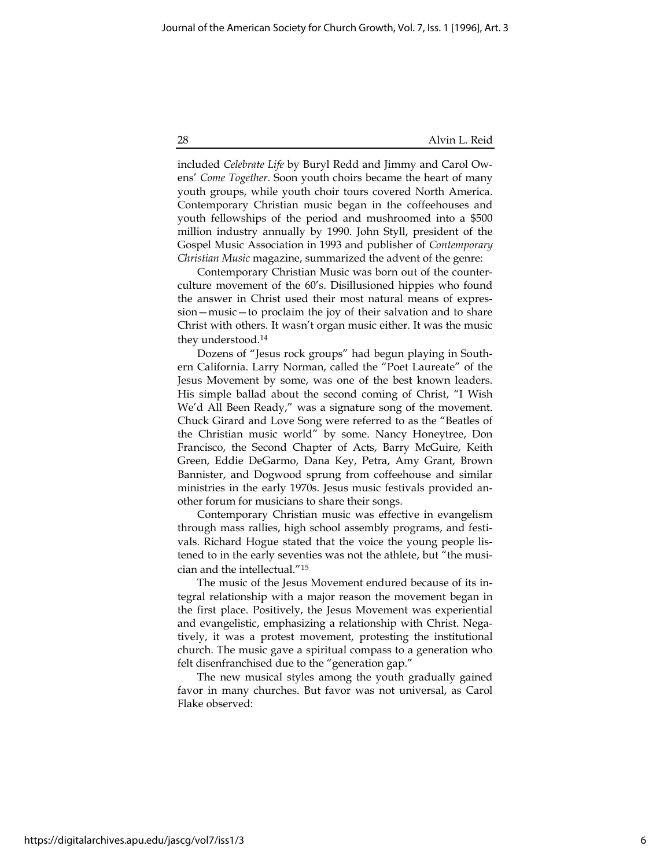included Celebrate Life by Buryl Redd and Jimmy and Carol Owens' Come Together. Soon youth choirs became the heart of many youth groups, while youth choir tours covered North America. Contemporary Christian music began in the coffeehouses and youth fellowships of the period and mushroomed into a \$500 million industry annually by 1990. John Styll, president of the Gospel Music Association in 1993 and publisher of Contemporary Christian Music magazine, summarized the advent of the genre:

Contemporary Christian Music was born out of the counterculture movement of the 60's. Disillusioned hippies who found the answer in Christ used their most natural means of expression—music—to proclaim the joy of their salvation and to share Christ with others. It wasn't organ music either. It was the music they understood.<sup>14</sup>

Dozens of "Jesus rock groups" had begun playing in Southern California. Larry Norman, called the "Poet Laureate" of the Jesus Movement by some, was one of the best known leaders. His simple ballad about the second coming of Christ, "I Wish We'd All Been Ready," was a signature song of the movement. Chuck Girard and Love Song were referred to as the "Beatles of the Christian music world" by some. Nancy Honeytree, Don Francisco, the Second Chapter of Acts, Barry McGuire, Keith Green, Eddie DeGarmo, Dana Key, Petra, Amy Grant, Brown Bannister, and Dogwood sprung from coffeehouse and similar ministries in the early 1970s. Jesus music festivals provided another forum for musicians to share their songs.

Contemporary Christian music was effective in evangelism through mass rallies, high school assembly programs, and festivals. Richard Hogue stated that the voice the young people listened to in the early seventies was not the athlete, but "the musician and the intellectual."<sup>15</sup>

The music of the Jesus Movement endured because of its integral relationship with a major reason the movement began in the first place. Positively, the Jesus Movement was experiential and evangelistic, emphasizing a relationship with Christ. Negatively, it was a protest movement, protesting the institutional church. The music gave a spiritual compass to a generation who felt disenfranchised due to the "generation gap."

The new musical styles among the youth gradually gained favor in many churches. But favor was not universal, as Carol Flake observed: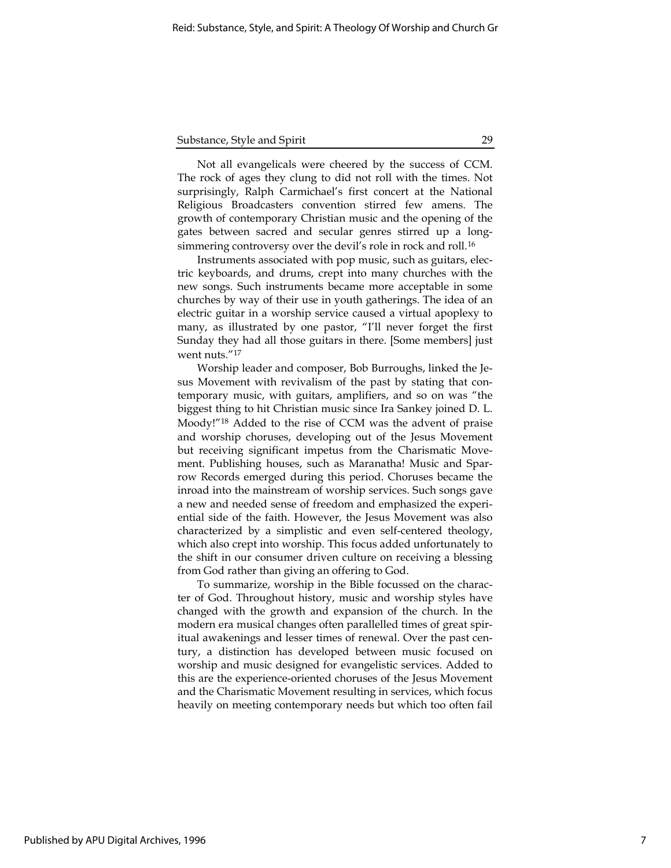Not all evangelicals were cheered by the success of CCM. The rock of ages they clung to did not roll with the times. Not surprisingly, Ralph Carmichael's first concert at the National Religious Broadcasters convention stirred few amens. The growth of contemporary Christian music and the opening of the gates between sacred and secular genres stirred up a longsimmering controversy over the devil's role in rock and roll.<sup>16</sup>

Instruments associated with pop music, such as guitars, electric keyboards, and drums, crept into many churches with the new songs. Such instruments became more acceptable in some churches by way of their use in youth gatherings. The idea of an electric guitar in a worship service caused a virtual apoplexy to many, as illustrated by one pastor, "I'll never forget the first Sunday they had all those guitars in there. [Some members] just went nuts."<sup>17</sup>

Worship leader and composer, Bob Burroughs, linked the Jesus Movement with revivalism of the past by stating that contemporary music, with guitars, amplifiers, and so on was "the biggest thing to hit Christian music since Ira Sankey joined D. L. Moody!"<sup>18</sup> Added to the rise of CCM was the advent of praise and worship choruses, developing out of the Jesus Movement but receiving significant impetus from the Charismatic Movement. Publishing houses, such as Maranatha! Music and Sparrow Records emerged during this period. Choruses became the inroad into the mainstream of worship services. Such songs gave a new and needed sense of freedom and emphasized the experiential side of the faith. However, the Jesus Movement was also characterized by a simplistic and even self-centered theology, which also crept into worship. This focus added unfortunately to the shift in our consumer driven culture on receiving a blessing from God rather than giving an offering to God.

To summarize, worship in the Bible focussed on the character of God. Throughout history, music and worship styles have changed with the growth and expansion of the church. In the modern era musical changes often parallelled times of great spiritual awakenings and lesser times of renewal. Over the past century, a distinction has developed between music focused on worship and music designed for evangelistic services. Added to this are the experience-oriented choruses of the Jesus Movement and the Charismatic Movement resulting in services, which focus heavily on meeting contemporary needs but which too often fail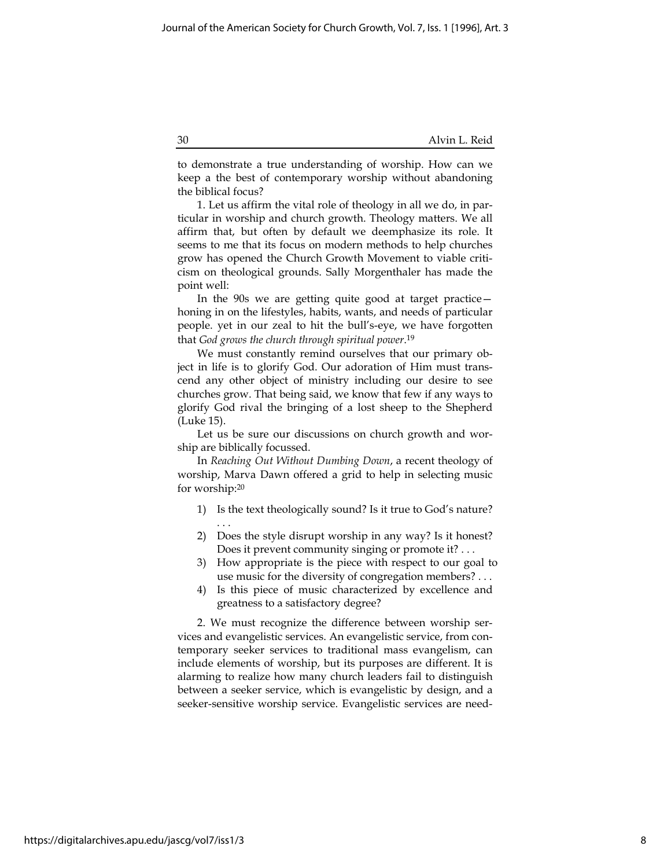to demonstrate a true understanding of worship. How can we keep a the best of contemporary worship without abandoning the biblical focus?

1. Let us affirm the vital role of theology in all we do, in particular in worship and church growth. Theology matters. We all affirm that, but often by default we deemphasize its role. It seems to me that its focus on modern methods to help churches grow has opened the Church Growth Movement to viable criticism on theological grounds. Sally Morgenthaler has made the point well:

In the 90s we are getting quite good at target practice honing in on the lifestyles, habits, wants, and needs of particular people. yet in our zeal to hit the bull's-eye, we have forgotten that God grows the church through spiritual power.<sup>19</sup>

We must constantly remind ourselves that our primary object in life is to glorify God. Our adoration of Him must transcend any other object of ministry including our desire to see churches grow. That being said, we know that few if any ways to glorify God rival the bringing of a lost sheep to the Shepherd (Luke 15).

Let us be sure our discussions on church growth and worship are biblically focussed.

In Reaching Out Without Dumbing Down, a recent theology of worship, Marva Dawn offered a grid to help in selecting music for worship:<sup>20</sup>

- 1) Is the text theologically sound? Is it true to God's nature? . . .
- 2) Does the style disrupt worship in any way? Is it honest? Does it prevent community singing or promote it? . . .
- 3) How appropriate is the piece with respect to our goal to use music for the diversity of congregation members? . . .
- 4) Is this piece of music characterized by excellence and greatness to a satisfactory degree?

2. We must recognize the difference between worship services and evangelistic services. An evangelistic service, from contemporary seeker services to traditional mass evangelism, can include elements of worship, but its purposes are different. It is alarming to realize how many church leaders fail to distinguish between a seeker service, which is evangelistic by design, and a seeker-sensitive worship service. Evangelistic services are need-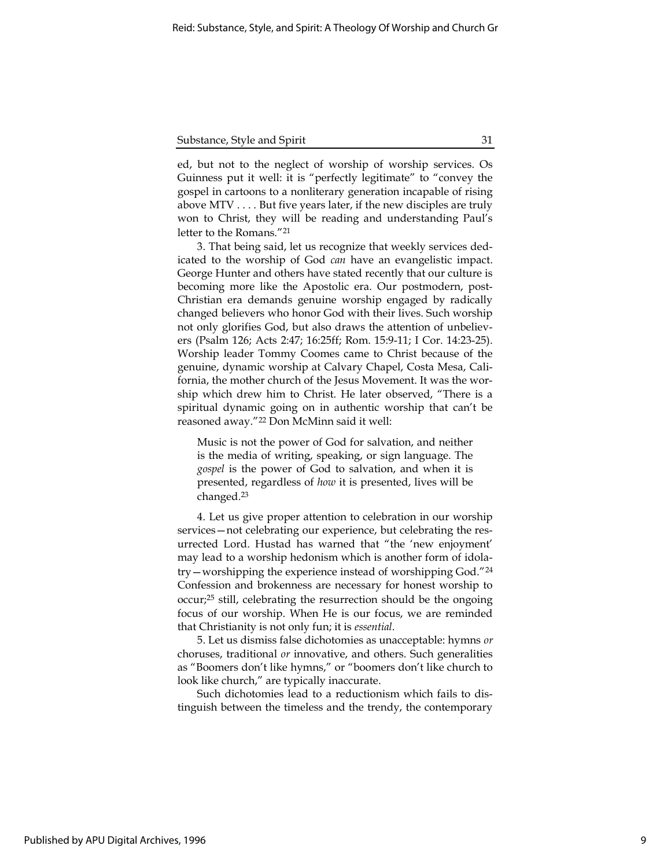ed, but not to the neglect of worship of worship services. Os Guinness put it well: it is "perfectly legitimate" to "convey the gospel in cartoons to a nonliterary generation incapable of rising above MTV . . . . But five years later, if the new disciples are truly won to Christ, they will be reading and understanding Paul's letter to the Romans."<sup>21</sup>

3. That being said, let us recognize that weekly services dedicated to the worship of God can have an evangelistic impact. George Hunter and others have stated recently that our culture is becoming more like the Apostolic era. Our postmodern, post-Christian era demands genuine worship engaged by radically changed believers who honor God with their lives. Such worship not only glorifies God, but also draws the attention of unbelievers (Psalm 126; Acts 2:47; 16:25ff; Rom. 15:9-11; I Cor. 14:23-25). Worship leader Tommy Coomes came to Christ because of the genuine, dynamic worship at Calvary Chapel, Costa Mesa, California, the mother church of the Jesus Movement. It was the worship which drew him to Christ. He later observed, "There is a spiritual dynamic going on in authentic worship that can't be reasoned away."<sup>22</sup> Don McMinn said it well:

Music is not the power of God for salvation, and neither is the media of writing, speaking, or sign language. The gospel is the power of God to salvation, and when it is presented, regardless of how it is presented, lives will be changed.<sup>23</sup>

4. Let us give proper attention to celebration in our worship services—not celebrating our experience, but celebrating the resurrected Lord. Hustad has warned that "the 'new enjoyment' may lead to a worship hedonism which is another form of idolatry—worshipping the experience instead of worshipping God."<sup>24</sup> Confession and brokenness are necessary for honest worship to occur;<sup>25</sup> still, celebrating the resurrection should be the ongoing focus of our worship. When He is our focus, we are reminded that Christianity is not only fun; it is essential.

5. Let us dismiss false dichotomies as unacceptable: hymns or choruses, traditional or innovative, and others. Such generalities as "Boomers don't like hymns," or "boomers don't like church to look like church," are typically inaccurate.

Such dichotomies lead to a reductionism which fails to distinguish between the timeless and the trendy, the contemporary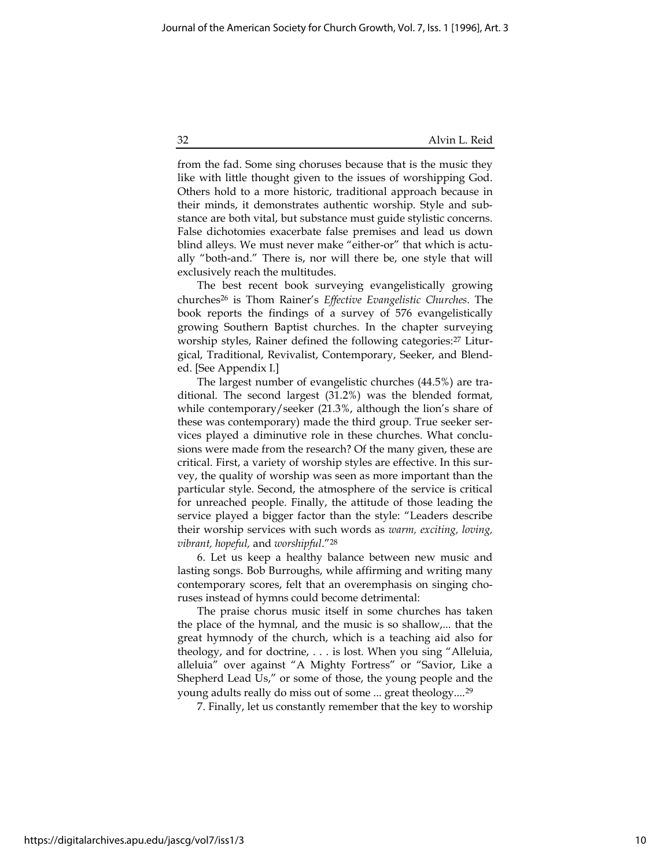from the fad. Some sing choruses because that is the music they like with little thought given to the issues of worshipping God. Others hold to a more historic, traditional approach because in their minds, it demonstrates authentic worship. Style and substance are both vital, but substance must guide stylistic concerns. False dichotomies exacerbate false premises and lead us down blind alleys. We must never make "either-or" that which is actually "both-and." There is, nor will there be, one style that will exclusively reach the multitudes.

The best recent book surveying evangelistically growing churches<sup>26</sup> is Thom Rainer's Effective Evangelistic Churches. The book reports the findings of a survey of 576 evangelistically growing Southern Baptist churches. In the chapter surveying worship styles, Rainer defined the following categories:<sup>27</sup> Liturgical, Traditional, Revivalist, Contemporary, Seeker, and Blended. [See Appendix I.]

The largest number of evangelistic churches (44.5%) are traditional. The second largest (31.2%) was the blended format, while contemporary/seeker (21.3%, although the lion's share of these was contemporary) made the third group. True seeker services played a diminutive role in these churches. What conclusions were made from the research? Of the many given, these are critical. First, a variety of worship styles are effective. In this survey, the quality of worship was seen as more important than the particular style. Second, the atmosphere of the service is critical for unreached people. Finally, the attitude of those leading the service played a bigger factor than the style: "Leaders describe their worship services with such words as warm, exciting, loving, vibrant, hopeful, and worshipful."<sup>28</sup>

6. Let us keep a healthy balance between new music and lasting songs. Bob Burroughs, while affirming and writing many contemporary scores, felt that an overemphasis on singing choruses instead of hymns could become detrimental:

The praise chorus music itself in some churches has taken the place of the hymnal, and the music is so shallow,... that the great hymnody of the church, which is a teaching aid also for theology, and for doctrine, . . . is lost. When you sing "Alleluia, alleluia" over against "A Mighty Fortress" or "Savior, Like a Shepherd Lead Us," or some of those, the young people and the young adults really do miss out of some ... great theology....<sup>29</sup>

7. Finally, let us constantly remember that the key to worship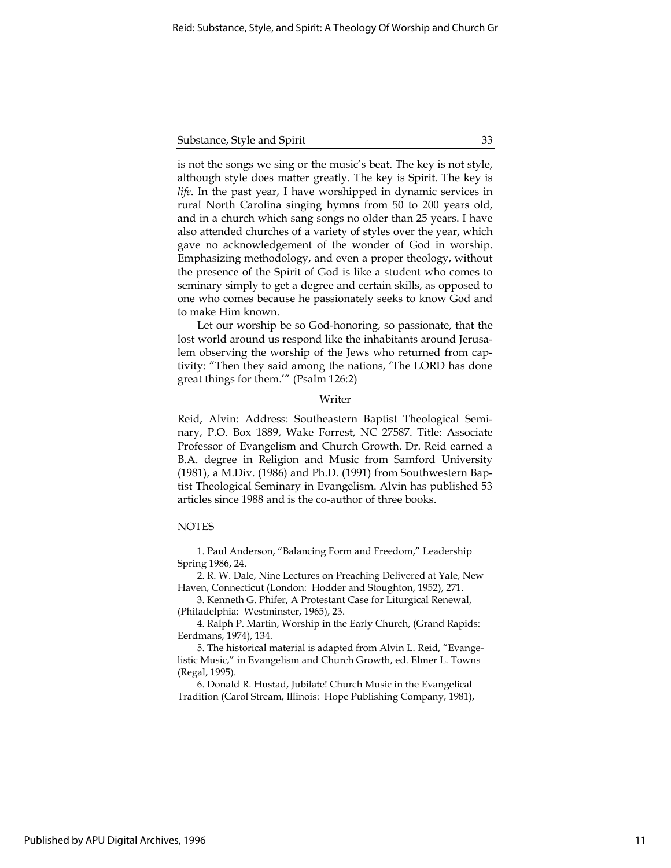is not the songs we sing or the music's beat. The key is not style, although style does matter greatly. The key is Spirit. The key is life. In the past year, I have worshipped in dynamic services in rural North Carolina singing hymns from 50 to 200 years old, and in a church which sang songs no older than 25 years. I have also attended churches of a variety of styles over the year, which gave no acknowledgement of the wonder of God in worship. Emphasizing methodology, and even a proper theology, without the presence of the Spirit of God is like a student who comes to seminary simply to get a degree and certain skills, as opposed to one who comes because he passionately seeks to know God and to make Him known.

Let our worship be so God-honoring, so passionate, that the lost world around us respond like the inhabitants around Jerusalem observing the worship of the Jews who returned from captivity: "Then they said among the nations, 'The LORD has done great things for them.'" (Psalm 126:2)

### Writer

Reid, Alvin: Address: Southeastern Baptist Theological Seminary, P.O. Box 1889, Wake Forrest, NC 27587. Title: Associate Professor of Evangelism and Church Growth. Dr. Reid earned a B.A. degree in Religion and Music from Samford University (1981), a M.Div. (1986) and Ph.D. (1991) from Southwestern Baptist Theological Seminary in Evangelism. Alvin has published 53 articles since 1988 and is the co-author of three books.

## **NOTES**

1. Paul Anderson, "Balancing Form and Freedom," Leadership Spring 1986, 24.

2. R. W. Dale, Nine Lectures on Preaching Delivered at Yale, New Haven, Connecticut (London: Hodder and Stoughton, 1952), 271.

3. Kenneth G. Phifer, A Protestant Case for Liturgical Renewal, (Philadelphia: Westminster, 1965), 23.

4. Ralph P. Martin, Worship in the Early Church, (Grand Rapids: Eerdmans, 1974), 134.

5. The historical material is adapted from Alvin L. Reid, "Evangelistic Music," in Evangelism and Church Growth, ed. Elmer L. Towns (Regal, 1995).

6. Donald R. Hustad, Jubilate! Church Music in the Evangelical Tradition (Carol Stream, Illinois: Hope Publishing Company, 1981),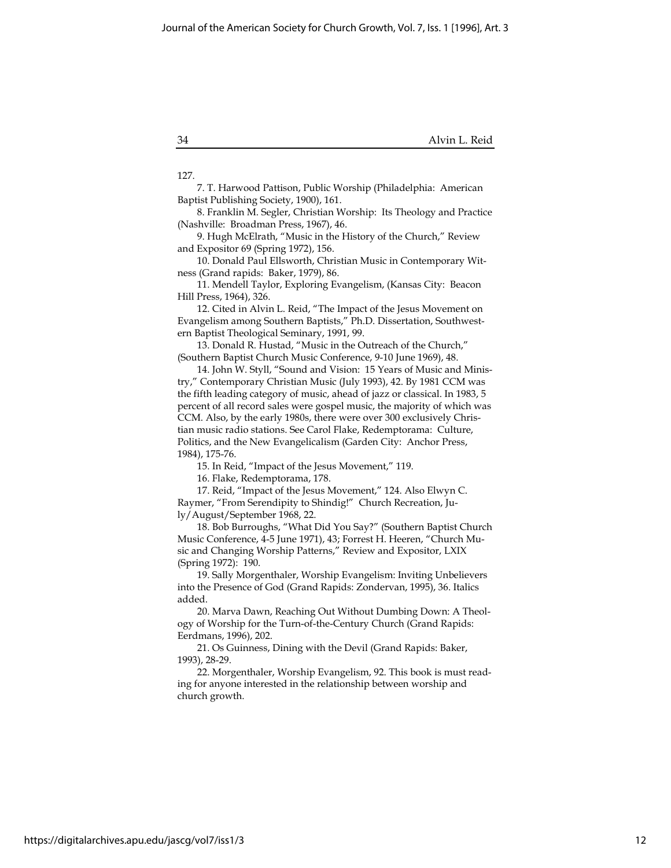127.

7. T. Harwood Pattison, Public Worship (Philadelphia: American Baptist Publishing Society, 1900), 161.

8. Franklin M. Segler, Christian Worship: Its Theology and Practice (Nashville: Broadman Press, 1967), 46.

9. Hugh McElrath, "Music in the History of the Church," Review and Expositor 69 (Spring 1972), 156.

10. Donald Paul Ellsworth, Christian Music in Contemporary Witness (Grand rapids: Baker, 1979), 86.

11. Mendell Taylor, Exploring Evangelism, (Kansas City: Beacon Hill Press, 1964), 326.

12. Cited in Alvin L. Reid, "The Impact of the Jesus Movement on Evangelism among Southern Baptists," Ph.D. Dissertation, Southwestern Baptist Theological Seminary, 1991, 99.

13. Donald R. Hustad, "Music in the Outreach of the Church," (Southern Baptist Church Music Conference, 9-10 June 1969), 48.

14. John W. Styll, "Sound and Vision: 15 Years of Music and Ministry," Contemporary Christian Music (July 1993), 42. By 1981 CCM was the fifth leading category of music, ahead of jazz or classical. In 1983, 5 percent of all record sales were gospel music, the majority of which was CCM. Also, by the early 1980s, there were over 300 exclusively Christian music radio stations. See Carol Flake, Redemptorama: Culture, Politics, and the New Evangelicalism (Garden City: Anchor Press, 1984), 175-76.

15. In Reid, "Impact of the Jesus Movement," 119.

16. Flake, Redemptorama, 178.

17. Reid, "Impact of the Jesus Movement," 124. Also Elwyn C. Raymer, "From Serendipity to Shindig!" Church Recreation, July/August/September 1968, 22.

18. Bob Burroughs, "What Did You Say?" (Southern Baptist Church Music Conference, 4-5 June 1971), 43; Forrest H. Heeren, "Church Music and Changing Worship Patterns," Review and Expositor, LXIX (Spring 1972): 190.

19. Sally Morgenthaler, Worship Evangelism: Inviting Unbelievers into the Presence of God (Grand Rapids: Zondervan, 1995), 36. Italics added.

20. Marva Dawn, Reaching Out Without Dumbing Down: A Theology of Worship for the Turn-of-the-Century Church (Grand Rapids: Eerdmans, 1996), 202.

21. Os Guinness, Dining with the Devil (Grand Rapids: Baker, 1993), 28-29.

22. Morgenthaler, Worship Evangelism, 92. This book is must reading for anyone interested in the relationship between worship and church growth.